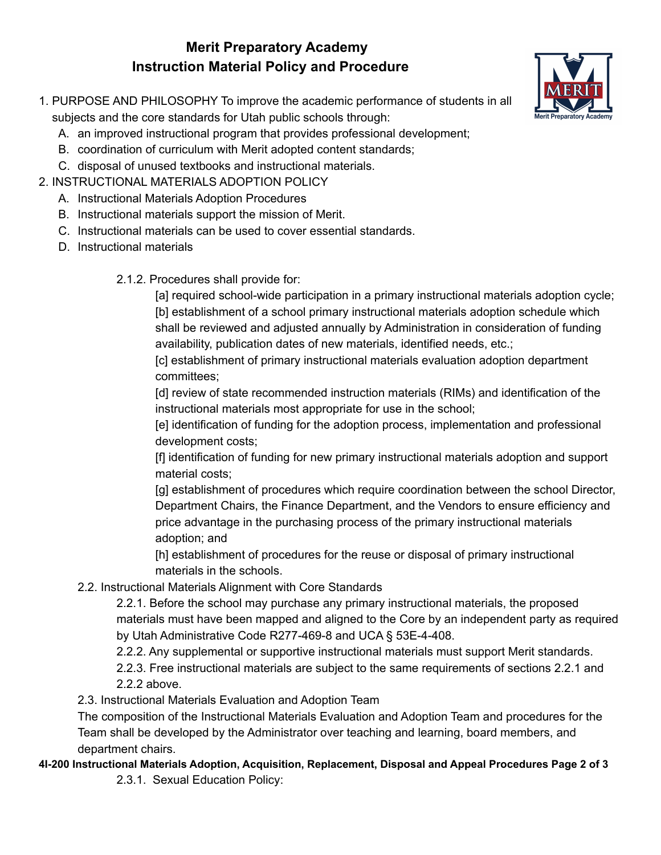# **Merit Preparatory Academy Instruction Material Policy and Procedure**



- 1. PURPOSE AND PHILOSOPHY To improve the academic performance of students in all subjects and the core standards for Utah public schools through:
	- A. an improved instructional program that provides professional development;
	- B. coordination of curriculum with Merit adopted content standards;
	- C. disposal of unused textbooks and instructional materials.
- 2. INSTRUCTIONAL MATERIALS ADOPTION POLICY
	- A. Instructional Materials Adoption Procedures
	- B. Instructional materials support the mission of Merit.
	- C. Instructional materials can be used to cover essential standards.
	- D. Instructional materials
		- 2.1.2. Procedures shall provide for:

[a] required school-wide participation in a primary instructional materials adoption cycle; [b] establishment of a school primary instructional materials adoption schedule which shall be reviewed and adjusted annually by Administration in consideration of funding availability, publication dates of new materials, identified needs, etc.;

[c] establishment of primary instructional materials evaluation adoption department committees;

[d] review of state recommended instruction materials (RIMs) and identification of the instructional materials most appropriate for use in the school;

[e] identification of funding for the adoption process, implementation and professional development costs;

[f] identification of funding for new primary instructional materials adoption and support material costs;

[g] establishment of procedures which require coordination between the school Director, Department Chairs, the Finance Department, and the Vendors to ensure efficiency and price advantage in the purchasing process of the primary instructional materials adoption; and

[h] establishment of procedures for the reuse or disposal of primary instructional materials in the schools.

2.2. Instructional Materials Alignment with Core Standards

2.2.1. Before the school may purchase any primary instructional materials, the proposed materials must have been mapped and aligned to the Core by an independent party as required by Utah Administrative Code R277-469-8 and UCA § 53E-4-408.

2.2.2. Any supplemental or supportive instructional materials must support Merit standards.

2.2.3. Free instructional materials are subject to the same requirements of sections 2.2.1 and 2.2.2 above.

2.3. Instructional Materials Evaluation and Adoption Team

The composition of the Instructional Materials Evaluation and Adoption Team and procedures for the Team shall be developed by the Administrator over teaching and learning, board members, and department chairs.

**4I-200 Instructional Materials Adoption, Acquisition, Replacement, Disposal and Appeal Procedures Page 2 of 3**

2.3.1. Sexual Education Policy: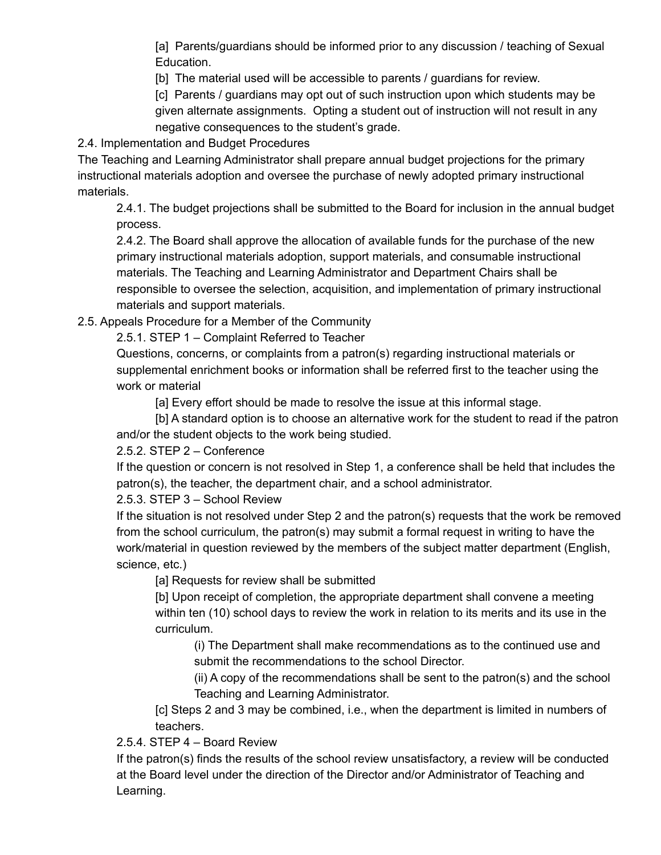[a] Parents/guardians should be informed prior to any discussion / teaching of Sexual Education.

[b] The material used will be accessible to parents / guardians for review.

[c] Parents / guardians may opt out of such instruction upon which students may be given alternate assignments. Opting a student out of instruction will not result in any negative consequences to the student's grade.

2.4. Implementation and Budget Procedures

The Teaching and Learning Administrator shall prepare annual budget projections for the primary instructional materials adoption and oversee the purchase of newly adopted primary instructional materials.

2.4.1. The budget projections shall be submitted to the Board for inclusion in the annual budget process.

2.4.2. The Board shall approve the allocation of available funds for the purchase of the new primary instructional materials adoption, support materials, and consumable instructional materials. The Teaching and Learning Administrator and Department Chairs shall be responsible to oversee the selection, acquisition, and implementation of primary instructional materials and support materials.

2.5. Appeals Procedure for a Member of the Community

2.5.1. STEP 1 – Complaint Referred to Teacher

Questions, concerns, or complaints from a patron(s) regarding instructional materials or supplemental enrichment books or information shall be referred first to the teacher using the work or material

[a] Every effort should be made to resolve the issue at this informal stage.

[b] A standard option is to choose an alternative work for the student to read if the patron and/or the student objects to the work being studied.

2.5.2. STEP 2 – Conference

If the question or concern is not resolved in Step 1, a conference shall be held that includes the patron(s), the teacher, the department chair, and a school administrator.

2.5.3. STEP 3 – School Review

If the situation is not resolved under Step 2 and the patron(s) requests that the work be removed from the school curriculum, the patron(s) may submit a formal request in writing to have the work/material in question reviewed by the members of the subject matter department (English, science, etc.)

[a] Requests for review shall be submitted

[b] Upon receipt of completion, the appropriate department shall convene a meeting within ten (10) school days to review the work in relation to its merits and its use in the curriculum.

(i) The Department shall make recommendations as to the continued use and submit the recommendations to the school Director.

(ii) A copy of the recommendations shall be sent to the patron(s) and the school Teaching and Learning Administrator.

[c] Steps 2 and 3 may be combined, i.e., when the department is limited in numbers of teachers.

2.5.4. STEP 4 – Board Review

If the patron(s) finds the results of the school review unsatisfactory, a review will be conducted at the Board level under the direction of the Director and/or Administrator of Teaching and Learning.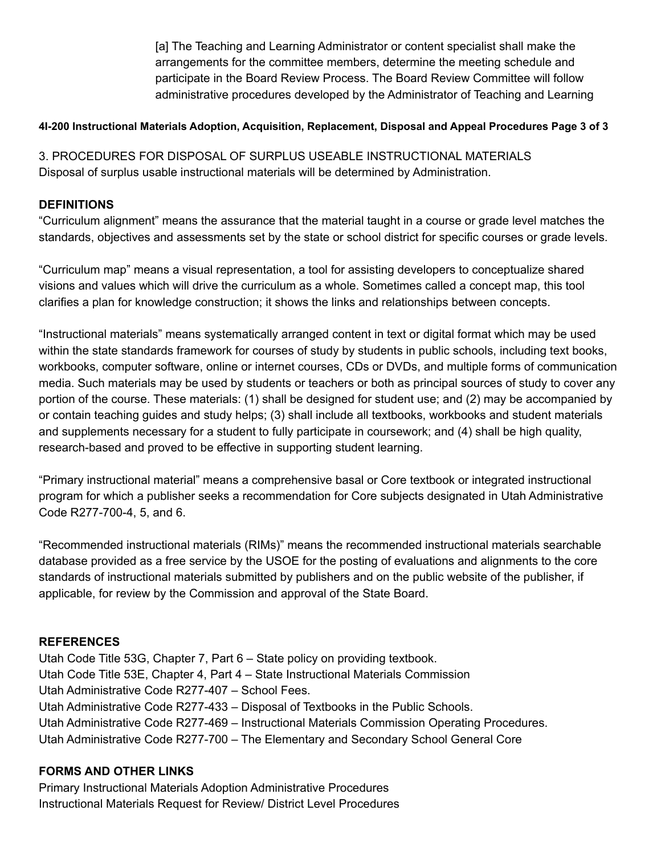[a] The Teaching and Learning Administrator or content specialist shall make the arrangements for the committee members, determine the meeting schedule and participate in the Board Review Process. The Board Review Committee will follow administrative procedures developed by the Administrator of Teaching and Learning

## **4I-200 Instructional Materials Adoption, Acquisition, Replacement, Disposal and Appeal Procedures Page 3 of 3**

3. PROCEDURES FOR DISPOSAL OF SURPLUS USEABLE INSTRUCTIONAL MATERIALS Disposal of surplus usable instructional materials will be determined by Administration.

## **DEFINITIONS**

"Curriculum alignment" means the assurance that the material taught in a course or grade level matches the standards, objectives and assessments set by the state or school district for specific courses or grade levels.

"Curriculum map" means a visual representation, a tool for assisting developers to conceptualize shared visions and values which will drive the curriculum as a whole. Sometimes called a concept map, this tool clarifies a plan for knowledge construction; it shows the links and relationships between concepts.

"Instructional materials" means systematically arranged content in text or digital format which may be used within the state standards framework for courses of study by students in public schools, including text books, workbooks, computer software, online or internet courses, CDs or DVDs, and multiple forms of communication media. Such materials may be used by students or teachers or both as principal sources of study to cover any portion of the course. These materials: (1) shall be designed for student use; and (2) may be accompanied by or contain teaching guides and study helps; (3) shall include all textbooks, workbooks and student materials and supplements necessary for a student to fully participate in coursework; and (4) shall be high quality, research-based and proved to be effective in supporting student learning.

"Primary instructional material" means a comprehensive basal or Core textbook or integrated instructional program for which a publisher seeks a recommendation for Core subjects designated in Utah Administrative Code R277-700-4, 5, and 6.

"Recommended instructional materials (RIMs)" means the recommended instructional materials searchable database provided as a free service by the USOE for the posting of evaluations and alignments to the core standards of instructional materials submitted by publishers and on the public website of the publisher, if applicable, for review by the Commission and approval of the State Board.

#### **REFERENCES**

Utah Code Title 53G, Chapter 7, Part 6 – State policy on providing textbook. Utah Code Title 53E, Chapter 4, Part 4 – State Instructional Materials Commission Utah Administrative Code R277-407 – School Fees. Utah Administrative Code R277-433 – Disposal of Textbooks in the Public Schools. Utah Administrative Code R277-469 – Instructional Materials Commission Operating Procedures. Utah Administrative Code R277-700 – The Elementary and Secondary School General Core

#### **FORMS AND OTHER LINKS**

Primary Instructional Materials Adoption Administrative Procedures Instructional Materials Request for Review/ District Level Procedures